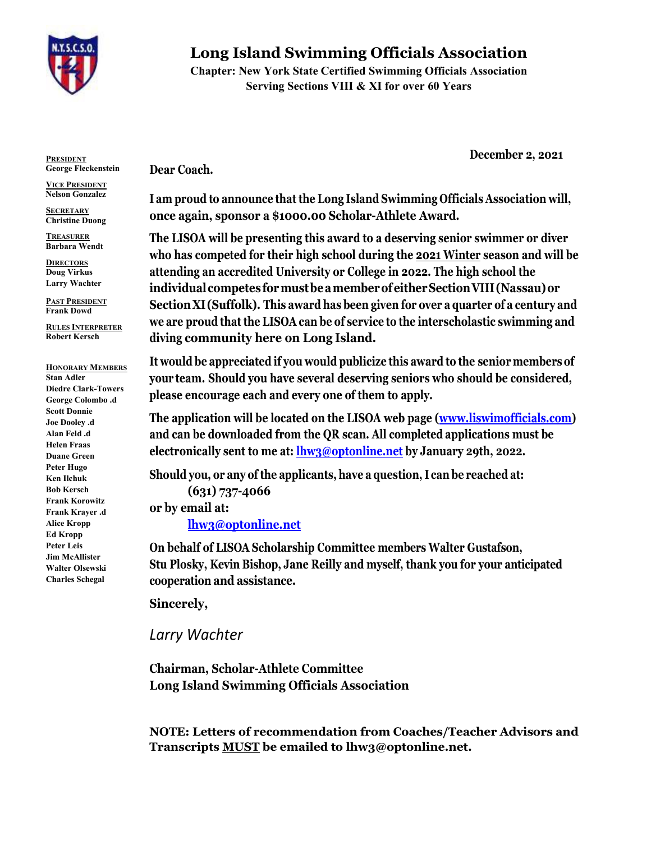

# **Long Island Swimming Officials Association**

**Chapter: New York State Certified Swimming Officials Association Serving Sections VIII & XI for over 60 Years**

**PRESIDENT George Fleckenstein**

**VICE PRESIDENT Nelson Gonzalez**

**SECRETARY Christine Duong**

**TREASURER Barbara Wendt**

**DIRECTORS Doug Virkus Larry Wachter**

**PAST PRESIDENT Frank Dowd**

**RULES INTERPRETER Robert Kersch**

**HONORARY MEMBERS Stan Adler Diedre Clark-Towers George Colombo .d Scott Donnie Joe Dooley .d Alan Feld .d Helen Fraas Duane Green Peter Hugo Ken Ilchuk Bob Kersch Frank Korowitz Frank Krayer .d Alice Kropp Ed Kropp Peter Leis Jim McAllister Walter Olsewski Charles Schegal**

**Dear Coach.**

**I am proud to announce that the Long Island Swimming Officials Association will, once again, sponsor a \$1000.00 Scholar-Athlete Award.**

**December 2, 2021**

**The LISOA will be presenting this award to a deserving senior swimmer or diver who has competed for their high school during the 2021 Winter season and will be attending an accredited University or College in 2022. The high school the individualcompetes formustbeamemberofeitherSectionVIII (Nassau)or SectionXI (Suffolk). This award has been given for over a quarter of a century and we are proud that the LISOA can be of service to the interscholastic swimming and diving community here on Long Island.**

**It would be appreciated if you would publicize this award to the senior members of your team. Should you have several deserving seniors who should be considered, please encourage each and every one of them to apply.**

**The application will be located on the LISOA web page [\(www.liswimofficials.com\)](http://www.liswimofficials.com/) and can be downloaded from the QR scan. All completed applications must be electronically sent to me at: [lhw3@optonline.net](mailto:lhw3@optonline.net) by January 29th, 2022.** 

**Should you, or any of the applicants, have a question, I can be reached at: (631) 737-4066**

**or by email at:**

**[lhw3@optonline.net](mailto:lhw3@optonline.net)**

**On behalf of LISOA Scholarship Committee members Walter Gustafson, Stu Plosky, Kevin Bishop, Jane Reilly and myself, thank you for your anticipated cooperation and assistance.**

**Sincerely,**

*Larry Wachter*

**Chairman, Scholar-Athlete Committee Long Island Swimming Officials Association**

**NOTE: Letters of recommendation from Coaches/Teacher Advisors and Transcripts MUST be emailed to lhw3@optonline.net.**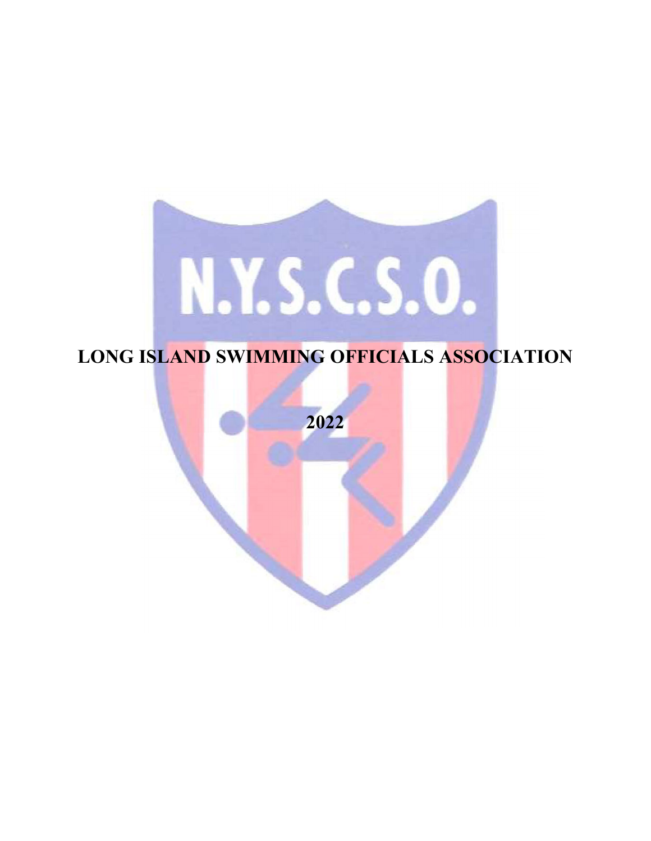

# **LONG ISLAND SWIMMING OFFICIALS ASSOCIATION**

**2022**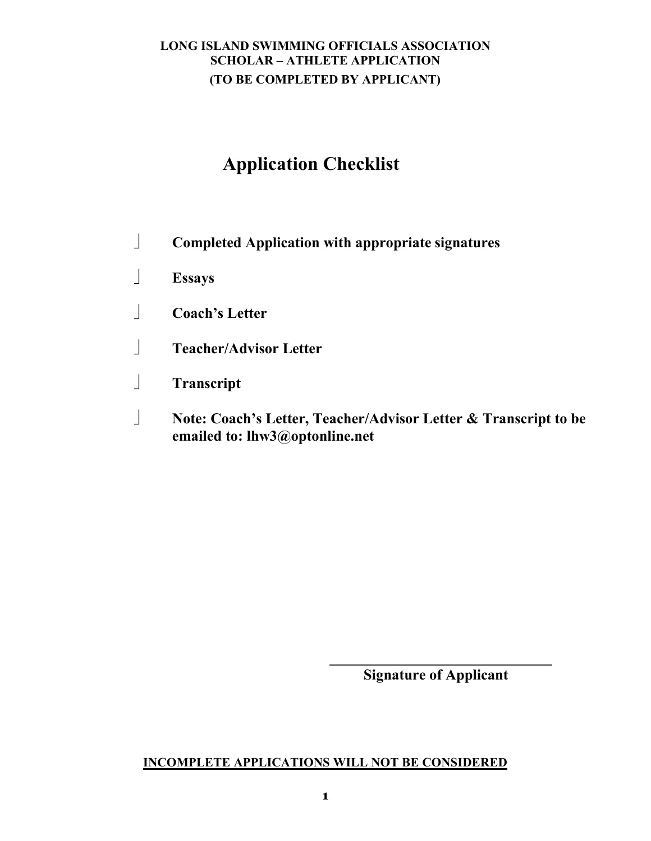## **LONG ISLAND SWIMMING OFFICIALS ASSOCIATION SCHOLAR – ATHLETE APPLICATION (TO BE COMPLETED BY APPLICANT)**

# **Application Checklist**

- **Completed Application with appropriate signatures**
- **Essays**
- **Coach's Letter**
- **Teacher/Advisor Letter**
- **Transcript**
- **Note: Coach's Letter, Teacher/Advisor Letter & Transcript to be emailed to: lhw3@optonline.net**

**Signature of Applicant**

#### **INCOMPLETE APPLICATIONS WILL NOT BE CONSIDERED**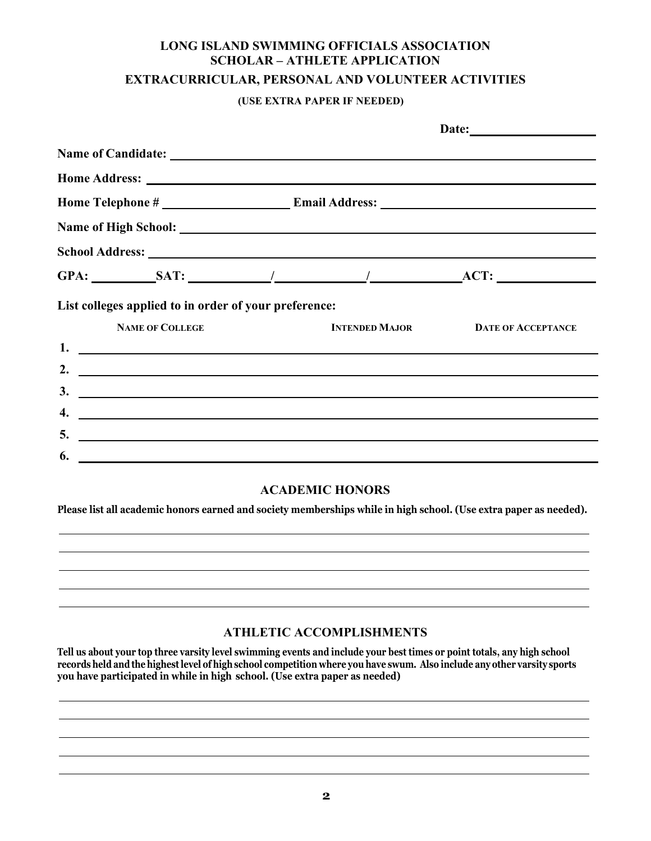## **LONG ISLAND SWIMMING OFFICIALS ASSOCIATION SCHOLAR – ATHLETE APPLICATION EXTRACURRICULAR, PERSONAL AND VOLUNTEER ACTIVITIES**

#### **(USE EXTRA PAPER IF NEEDED)**

|                                                                                                                                                                                                                                                                                                           |                                                                                                                      | Date:                                    |
|-----------------------------------------------------------------------------------------------------------------------------------------------------------------------------------------------------------------------------------------------------------------------------------------------------------|----------------------------------------------------------------------------------------------------------------------|------------------------------------------|
|                                                                                                                                                                                                                                                                                                           |                                                                                                                      |                                          |
|                                                                                                                                                                                                                                                                                                           |                                                                                                                      |                                          |
|                                                                                                                                                                                                                                                                                                           |                                                                                                                      |                                          |
|                                                                                                                                                                                                                                                                                                           |                                                                                                                      |                                          |
|                                                                                                                                                                                                                                                                                                           |                                                                                                                      |                                          |
|                                                                                                                                                                                                                                                                                                           |                                                                                                                      |                                          |
| List colleges applied to in order of your preference:<br><b>NAME OF COLLEGE</b>                                                                                                                                                                                                                           |                                                                                                                      | <b>INTENDED MAJOR DATE OF ACCEPTANCE</b> |
|                                                                                                                                                                                                                                                                                                           | $1.$ $\overline{\phantom{a}}$                                                                                        |                                          |
|                                                                                                                                                                                                                                                                                                           | 2. $\overline{\phantom{a}}$                                                                                          |                                          |
|                                                                                                                                                                                                                                                                                                           | $\frac{3}{2}$                                                                                                        |                                          |
| $\overline{4}$ .                                                                                                                                                                                                                                                                                          | <u> Alexandria de la contrada de la contrada de la contrada de la contrada de la contrada de la contrada de la c</u> |                                          |
| 5.                                                                                                                                                                                                                                                                                                        | <u> 1989 - Johann Barbara, martxa eta batarra (h. 1989).</u>                                                         |                                          |
| $\frac{1}{2}$ . $\frac{1}{2}$ . $\frac{1}{2}$ . $\frac{1}{2}$ . $\frac{1}{2}$ . $\frac{1}{2}$ . $\frac{1}{2}$ . $\frac{1}{2}$ . $\frac{1}{2}$ . $\frac{1}{2}$ . $\frac{1}{2}$ . $\frac{1}{2}$ . $\frac{1}{2}$ . $\frac{1}{2}$ . $\frac{1}{2}$ . $\frac{1}{2}$ . $\frac{1}{2}$ . $\frac{1}{2}$ . $\frac{1$ |                                                                                                                      |                                          |

#### **ACADEMIC HONORS**

**Please list all academic honors earned and society memberships while in high school. (Use extra paper as needed).**

#### **ATHLETIC ACCOMPLISHMENTS**

**Tell us about your top three varsity level swimming events and include your best times or point totals, any high school**  records held and the highest level of high school competition where you have swum. Also include any other varsity sports **you have participated in while in high school. (Use extra paper as needed)**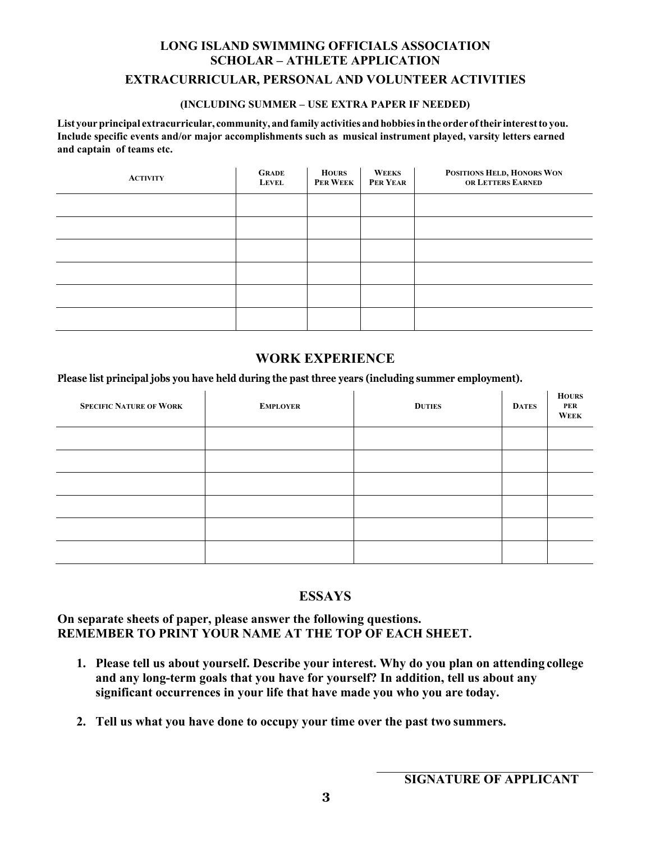# **LONG ISLAND SWIMMING OFFICIALS ASSOCIATION SCHOLAR – ATHLETE APPLICATION**

#### **EXTRACURRICULAR, PERSONAL AND VOLUNTEER ACTIVITIES**

#### **(INCLUDING SUMMER – USE EXTRA PAPER IF NEEDED)**

**List yourprincipal extracurricular, community, andfamily activities andhobbiesinthe order oftheir interestto you. Include specific events and/or major accomplishments such as musical instrument played, varsity letters earned and captain of teams etc.**

| <b>ACTIVITY</b> | <b>GRADE</b><br><b>LEVEL</b> | <b>HOURS</b><br>PER WEEK | <b>WEEKS</b><br>PER YEAR | POSITIONS HELD, HONORS WON<br>OR LETTERS EARNED |
|-----------------|------------------------------|--------------------------|--------------------------|-------------------------------------------------|
|                 |                              |                          |                          |                                                 |
|                 |                              |                          |                          |                                                 |
|                 |                              |                          |                          |                                                 |
|                 |                              |                          |                          |                                                 |
|                 |                              |                          |                          |                                                 |
|                 |                              |                          |                          |                                                 |

## **WORK EXPERIENCE**

**Please list principal jobs you have held during the past three years (including summer employment).**

| <b>SPECIFIC NATURE OF WORK</b> | <b>EMPLOYER</b> | <b>DUTIES</b> | <b>DATES</b> | <b>HOURS</b><br><b>PER</b><br>WEEK |
|--------------------------------|-----------------|---------------|--------------|------------------------------------|
|                                |                 |               |              |                                    |
|                                |                 |               |              |                                    |
|                                |                 |               |              |                                    |
|                                |                 |               |              |                                    |
|                                |                 |               |              |                                    |
|                                |                 |               |              |                                    |

## **ESSAYS**

**On separate sheets of paper, please answer the following questions. REMEMBER TO PRINT YOUR NAME AT THE TOP OF EACH SHEET.**

- **1. Please tell us about yourself. Describe your interest. Why do you plan on attending college and any long-term goals that you have for yourself? In addition, tell us about any significant occurrences in your life that have made you who you are today.**
- **2. Tell us what you have done to occupy your time over the past two summers.**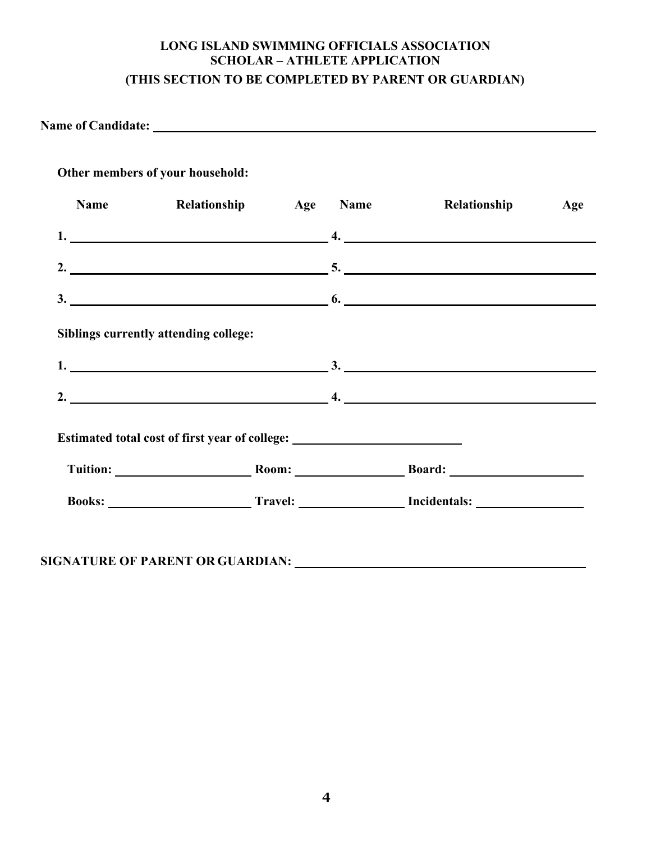# **LONG ISLAND SWIMMING OFFICIALS ASSOCIATION SCHOLAR – ATHLETE APPLICATION (THIS SECTION TO BE COMPLETED BY PARENT OR GUARDIAN)**

| Other members of your household:                                                                                                                                                                                                                                                                                       |  |     |
|------------------------------------------------------------------------------------------------------------------------------------------------------------------------------------------------------------------------------------------------------------------------------------------------------------------------|--|-----|
| Name Relationship Age Name Relationship                                                                                                                                                                                                                                                                                |  | Age |
| $1.$ $4.$                                                                                                                                                                                                                                                                                                              |  |     |
| 2. $\frac{1}{2}$ $\frac{1}{2}$ $\frac{1}{2}$ $\frac{1}{2}$ $\frac{1}{2}$ $\frac{1}{2}$ $\frac{1}{2}$ $\frac{1}{2}$ $\frac{1}{2}$ $\frac{1}{2}$ $\frac{1}{2}$ $\frac{1}{2}$ $\frac{1}{2}$ $\frac{1}{2}$ $\frac{1}{2}$ $\frac{1}{2}$ $\frac{1}{2}$ $\frac{1}{2}$ $\frac{1}{2}$ $\frac{1}{2}$ $\frac{1}{2}$ $\frac{1}{2}$ |  |     |
|                                                                                                                                                                                                                                                                                                                        |  |     |
| Siblings currently attending college:                                                                                                                                                                                                                                                                                  |  |     |
|                                                                                                                                                                                                                                                                                                                        |  |     |
| $1.$ $3.$<br>2. $\overline{\phantom{a}}$                                                                                                                                                                                                                                                                               |  |     |
| Estimated total cost of first year of college: _________________________________                                                                                                                                                                                                                                       |  |     |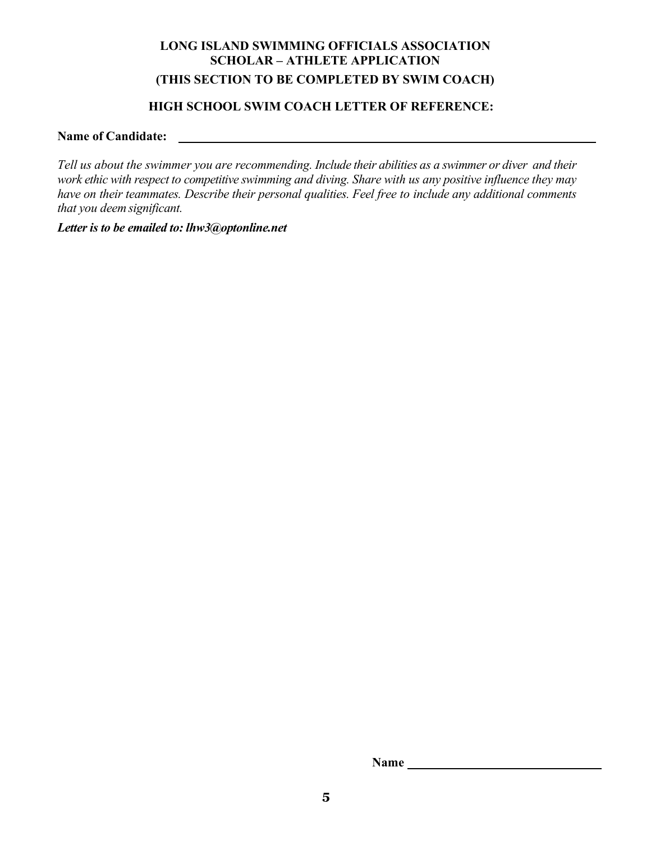## **LONG ISLAND SWIMMING OFFICIALS ASSOCIATION SCHOLAR – ATHLETE APPLICATION (THIS SECTION TO BE COMPLETED BY SWIM COACH)**

#### **HIGH SCHOOL SWIM COACH LETTER OF REFERENCE:**

#### **Name of Candidate:**

Tell us about the swimmer you are recommending. Include their abilities as a swimmer or diver and their work ethic with respect to competitive swimming and diving. Share with us any positive influence they may *have on their teammates. Describe their personal qualities. Feel free to include any additional comments that you deem significant.*

*Letter is to be emailed to: lhw3@optonline.net*

**Name**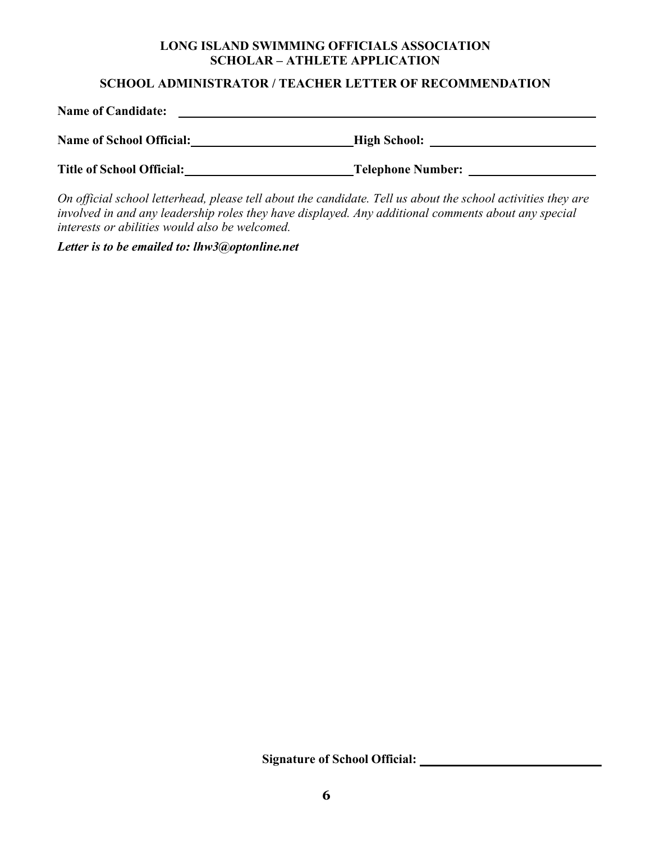### **LONG ISLAND SWIMMING OFFICIALS ASSOCIATION SCHOLAR – ATHLETE APPLICATION**

## **SCHOOL ADMINISTRATOR / TEACHER LETTER OF RECOMMENDATION**

| <b>Name of Candidate:</b>        |                          |
|----------------------------------|--------------------------|
| <b>Name of School Official:</b>  | <b>High School:</b>      |
| <b>Title of School Official:</b> | <b>Telephone Number:</b> |

*On official school letterhead, please tell about the candidate. Tell us about the school activities they are involved in and any leadership roles they have displayed. Any additional comments about any special interests or abilities would also be welcomed.*

*Letter is to be emailed to: lhw3@optonline.net*

**Signature of School Official:**